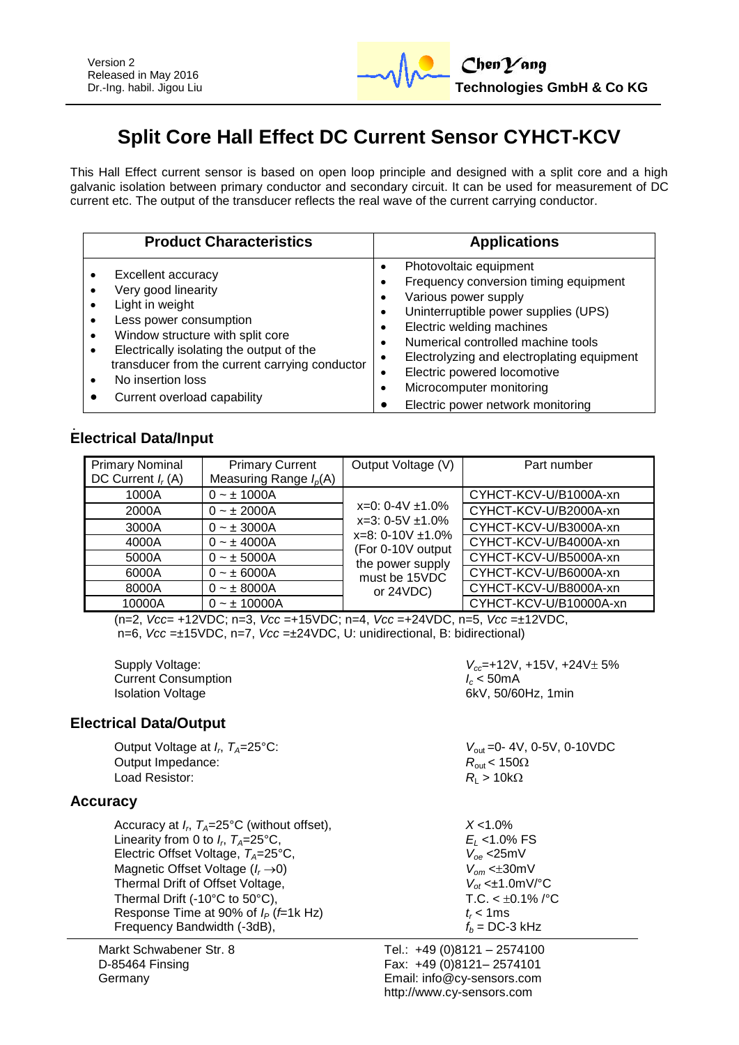

# **Split Core Hall Effect DC Current Sensor CYHCT-KCV**

This Hall Effect current sensor is based on open loop principle and designed with a split core and a high galvanic isolation between primary conductor and secondary circuit. It can be used for measurement of DC current etc. The output of the transducer reflects the real wave of the current carrying conductor.

| <b>Product Characteristics</b>                 | <b>Applications</b>                        |
|------------------------------------------------|--------------------------------------------|
| Excellent accuracy                             | Photovoltaic equipment                     |
| Very good linearity                            | Frequency conversion timing equipment      |
| Light in weight                                | Various power supply                       |
| Less power consumption                         | Uninterruptible power supplies (UPS)       |
| Window structure with split core               | Electric welding machines                  |
| $\bullet$                                      | Numerical controlled machine tools         |
| Electrically isolating the output of the       | Electrolyzing and electroplating equipment |
| transducer from the current carrying conductor | Electric powered locomotive                |
| No insertion loss                              | Microcomputer monitoring                   |
| Current overload capability                    | Electric power network monitoring          |

## **Electrical Data/Input**

| <b>Primary Nominal</b><br>DC Current $I_r(A)$ | <b>Primary Current</b><br>Measuring Range $I_p(A)$ | Output Voltage (V)                                                                                                                              | Part number            |
|-----------------------------------------------|----------------------------------------------------|-------------------------------------------------------------------------------------------------------------------------------------------------|------------------------|
| 1000A                                         | $0 - \pm 1000A$                                    | $x=0$ : 0-4V $\pm$ 1.0%<br>$x=3:0-5V \pm 1.0\%$<br>$x=8:0-10V \pm 1.0\%$<br>(For 0-10V output<br>the power supply<br>must be 15VDC<br>or 24VDC) | CYHCT-KCV-U/B1000A-xn  |
| 2000A                                         | $0 - \pm 2000A$                                    |                                                                                                                                                 | CYHCT-KCV-U/B2000A-xn  |
| 3000A                                         | $0 - \pm 3000A$                                    |                                                                                                                                                 | CYHCT-KCV-U/B3000A-xn  |
| 4000A                                         | $0 - \pm 4000A$                                    |                                                                                                                                                 | CYHCT-KCV-U/B4000A-xn  |
| 5000A                                         | $0 - \pm 5000A$                                    |                                                                                                                                                 | CYHCT-KCV-U/B5000A-xn  |
| 6000A                                         | $0 - \pm 6000A$                                    |                                                                                                                                                 | CYHCT-KCV-U/B6000A-xn  |
| 8000A                                         | $0 - \pm 8000A$                                    |                                                                                                                                                 | CYHCT-KCV-U/B8000A-xn  |
| 10000A                                        | $0 - \pm 10000A$                                   |                                                                                                                                                 | CYHCT-KCV-U/B10000A-xn |

(n=2, *Vcc*= +12VDC; n=3, *Vcc* =+15VDC; n=4, *Vcc* =+24VDC, n=5, *Vcc* =±12VDC, n=6, *Vcc* =±15VDC, n=7, *Vcc* =±24VDC, U: unidirectional, B: bidirectional)

**Current Consumption** Isolation Voltage 6kV, 50/60Hz, 1min

## **Electrical Data/Output**

Output Voltage at *I<sub>r</sub>*,  $T_A = 25^{\circ}$ C: Output Impedance:  $R_{\text{out}} < 150\Omega$ Load Resistor:  $R_{\text{L}} > 10 \text{k}\Omega$ 

## **Accuracy**

| Accuracy at $I_r$ , $T_A=25^{\circ}C$ (without offset), | $X < 1.0\%$                                        |
|---------------------------------------------------------|----------------------------------------------------|
| Linearity from 0 to $I_r$ , $T_A = 25$ °C,              | $E_1$ < 1.0% FS                                    |
| Electric Offset Voltage, $T_A = 25^{\circ}C$ ,          | $V_{\text{oe}}$ <25mV                              |
| Magnetic Offset Voltage $(I_r \rightarrow 0)$           | $V_{\alpha m}$ < $\pm 30$ mV                       |
| Thermal Drift of Offset Voltage,                        | $V_{\text{ot}} < \pm 1.0 \text{mV}$ <sup>o</sup> C |
| Thermal Drift (-10°C to 50°C),                          | T.C. < $\pm$ 0.1% /°C                              |
| Response Time at 90% of $I_P$ ( $f=1k$ Hz)              | $t_r$ < 1 ms                                       |
| Frequency Bandwidth (-3dB),                             | $f_b = DC - 3$ kHz                                 |

Markt Schwabener Str. 8 D-85464 Finsing Germany

Supply Voltage:  $V_{cc}$ =+12V, +15V, +24V $\pm$  5%<br>Current Consumption  $V_{cc}$ =+12V, +15V, +24V $\pm$  5%

 $V_{\text{out}}$  =0- 4V, 0-5V, 0-10VDC

Tel.: +49 (0)8121 – 2574100

Fax: +49 (0)8121– 2574101 Email: info@cy-sensors.com http://www.cy-sensors.com